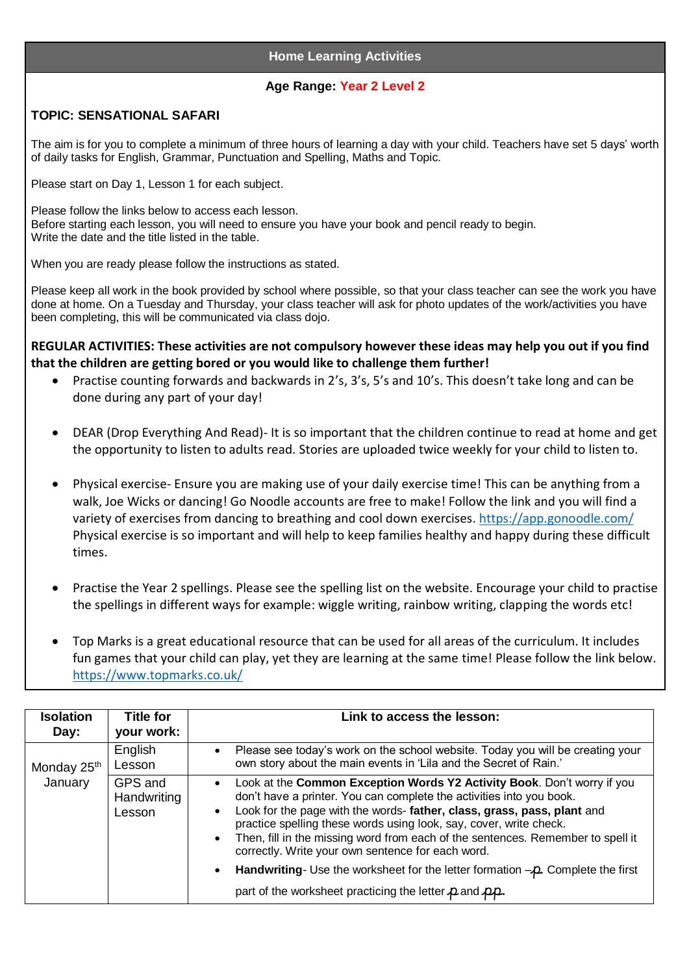## **Home Learning Activities**

## **Age Range: Year 2 Level 2**

## **TOPIC: SENSATIONAL SAFARI**

The aim is for you to complete a minimum of three hours of learning a day with your child. Teachers have set 5 days' worth of daily tasks for English, Grammar, Punctuation and Spelling, Maths and Topic.

Please start on Day 1, Lesson 1 for each subject.

Please follow the links below to access each lesson. Before starting each lesson, you will need to ensure you have your book and pencil ready to begin. Write the date and the title listed in the table.

When you are ready please follow the instructions as stated.

Please keep all work in the book provided by school where possible, so that your class teacher can see the work you have done at home. On a Tuesday and Thursday, your class teacher will ask for photo updates of the work/activities you have been completing, this will be communicated via class dojo.

**REGULAR ACTIVITIES: These activities are not compulsory however these ideas may help you out if you find that the children are getting bored or you would like to challenge them further!**

- Practise counting forwards and backwards in 2's, 3's, 5's and 10's. This doesn't take long and can be done during any part of your day!
- DEAR (Drop Everything And Read)- It is so important that the children continue to read at home and get the opportunity to listen to adults read. Stories are uploaded twice weekly for your child to listen to.
- Physical exercise- Ensure you are making use of your daily exercise time! This can be anything from a walk, Joe Wicks or dancing! Go Noodle accounts are free to make! Follow the link and you will find a variety of exercises from dancing to breathing and cool down exercises.<https://app.gonoodle.com/> Physical exercise is so important and will help to keep families healthy and happy during these difficult times.
- Practise the Year 2 spellings. Please see the spelling list on the website. Encourage your child to practise the spellings in different ways for example: wiggle writing, rainbow writing, clapping the words etc!
- Top Marks is a great educational resource that can be used for all areas of the curriculum. It includes fun games that your child can play, yet they are learning at the same time! Please follow the link below. <https://www.topmarks.co.uk/>

| <b>Isolation</b><br>Day:           | <b>Title for</b><br>your work:   | Link to access the lesson:                                                                                                                                                                                                                                                                                                                                                                                                                                                                                                                    |
|------------------------------------|----------------------------------|-----------------------------------------------------------------------------------------------------------------------------------------------------------------------------------------------------------------------------------------------------------------------------------------------------------------------------------------------------------------------------------------------------------------------------------------------------------------------------------------------------------------------------------------------|
| Monday 25 <sup>th</sup><br>January | English<br>Lesson                | Please see today's work on the school website. Today you will be creating your<br>own story about the main events in 'Lila and the Secret of Rain.'                                                                                                                                                                                                                                                                                                                                                                                           |
|                                    | GPS and<br>Handwriting<br>Lesson | Look at the Common Exception Words Y2 Activity Book. Don't worry if you<br>$\bullet$<br>don't have a printer. You can complete the activities into you book.<br>Look for the page with the words- father, class, grass, pass, plant and<br>practice spelling these words using look, say, cover, write check.<br>Then, fill in the missing word from each of the sentences. Remember to spell it<br>correctly. Write your own sentence for each word.<br>Handwriting- Use the worksheet for the letter formation $-\rho$ . Complete the first |
|                                    |                                  | part of the worksheet practicing the letter $\mu$ and $\mu\mu$ .                                                                                                                                                                                                                                                                                                                                                                                                                                                                              |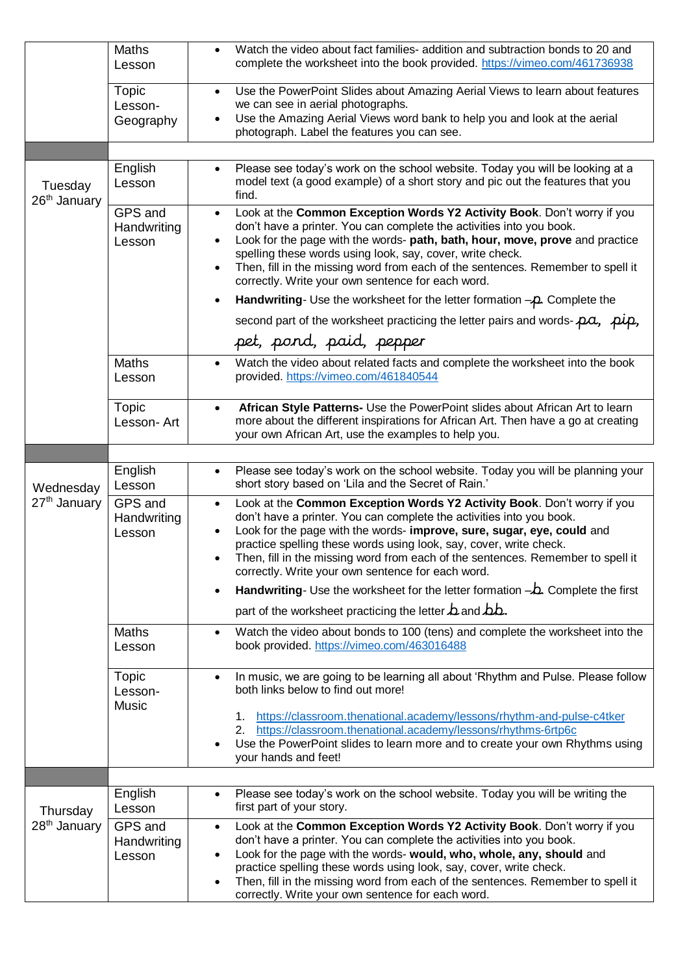|                                      | <b>Maths</b><br>Lesson           | Watch the video about fact families- addition and subtraction bonds to 20 and<br>complete the worksheet into the book provided. https://vimeo.com/461736938                                                                                                                                                                                                                                                                                                                 |
|--------------------------------------|----------------------------------|-----------------------------------------------------------------------------------------------------------------------------------------------------------------------------------------------------------------------------------------------------------------------------------------------------------------------------------------------------------------------------------------------------------------------------------------------------------------------------|
|                                      | Topic<br>Lesson-<br>Geography    | Use the PowerPoint Slides about Amazing Aerial Views to learn about features<br>$\bullet$<br>we can see in aerial photographs.<br>Use the Amazing Aerial Views word bank to help you and look at the aerial<br>photograph. Label the features you can see.                                                                                                                                                                                                                  |
|                                      |                                  |                                                                                                                                                                                                                                                                                                                                                                                                                                                                             |
| Tuesday<br>26 <sup>th</sup> January  | English<br>Lesson                | Please see today's work on the school website. Today you will be looking at a<br>$\bullet$<br>model text (a good example) of a short story and pic out the features that you<br>find.                                                                                                                                                                                                                                                                                       |
|                                      | GPS and<br>Handwriting<br>Lesson | Look at the Common Exception Words Y2 Activity Book. Don't worry if you<br>$\bullet$<br>don't have a printer. You can complete the activities into you book.<br>Look for the page with the words- path, bath, hour, move, prove and practice<br>$\bullet$<br>spelling these words using look, say, cover, write check.<br>Then, fill in the missing word from each of the sentences. Remember to spell it<br>$\bullet$<br>correctly. Write your own sentence for each word. |
|                                      |                                  | Handwriting- Use the worksheet for the letter formation $-\rho$ . Complete the                                                                                                                                                                                                                                                                                                                                                                                              |
|                                      |                                  | second part of the worksheet practicing the letter pairs and words- $p\alpha$ , $p\mu$ ,                                                                                                                                                                                                                                                                                                                                                                                    |
|                                      |                                  | pet, pond, paid, pepper                                                                                                                                                                                                                                                                                                                                                                                                                                                     |
|                                      | <b>Maths</b><br>Lesson           | Watch the video about related facts and complete the worksheet into the book<br>$\bullet$<br>provided. https://vimeo.com/461840544                                                                                                                                                                                                                                                                                                                                          |
|                                      | Topic<br>Lesson-Art              | African Style Patterns- Use the PowerPoint slides about African Art to learn<br>$\bullet$<br>more about the different inspirations for African Art. Then have a go at creating<br>your own African Art, use the examples to help you.                                                                                                                                                                                                                                       |
|                                      |                                  |                                                                                                                                                                                                                                                                                                                                                                                                                                                                             |
| Wednesday                            | English<br>Lesson                | Please see today's work on the school website. Today you will be planning your<br>$\bullet$<br>short story based on 'Lila and the Secret of Rain.'                                                                                                                                                                                                                                                                                                                          |
| 27 <sup>th</sup> January             | GPS and<br>Handwriting<br>Lesson | Look at the Common Exception Words Y2 Activity Book. Don't worry if you<br>$\bullet$<br>don't have a printer. You can complete the activities into you book.<br>Look for the page with the words- improve, sure, sugar, eye, could and<br>practice spelling these words using look, say, cover, write check.<br>Then, fill in the missing word from each of the sentences. Remember to spell it<br>correctly. Write your own sentence for each word.                        |
|                                      |                                  | Handwriting- Use the worksheet for the letter formation $-\Delta$ . Complete the first                                                                                                                                                                                                                                                                                                                                                                                      |
|                                      |                                  | part of the worksheet practicing the letter $\Delta$ and $\Delta\Delta$ .                                                                                                                                                                                                                                                                                                                                                                                                   |
|                                      | Maths<br>Lesson                  | Watch the video about bonds to 100 (tens) and complete the worksheet into the<br>$\bullet$<br>book provided. https://vimeo.com/463016488                                                                                                                                                                                                                                                                                                                                    |
|                                      | Topic<br>Lesson-<br><b>Music</b> | In music, we are going to be learning all about 'Rhythm and Pulse. Please follow<br>$\bullet$<br>both links below to find out more!                                                                                                                                                                                                                                                                                                                                         |
|                                      |                                  | https://classroom.thenational.academy/lessons/rhythm-and-pulse-c4tker<br>1.<br>2. https://classroom.thenational.academy/lessons/rhythms-6rtp6c<br>Use the PowerPoint slides to learn more and to create your own Rhythms using<br>your hands and feet!                                                                                                                                                                                                                      |
|                                      |                                  |                                                                                                                                                                                                                                                                                                                                                                                                                                                                             |
| Thursday<br>28 <sup>th</sup> January | English<br>Lesson                | Please see today's work on the school website. Today you will be writing the<br>first part of your story.                                                                                                                                                                                                                                                                                                                                                                   |
|                                      | GPS and<br>Handwriting<br>Lesson | Look at the Common Exception Words Y2 Activity Book. Don't worry if you<br>$\bullet$<br>don't have a printer. You can complete the activities into you book.<br>Look for the page with the words- would, who, whole, any, should and<br>practice spelling these words using look, say, cover, write check.<br>Then, fill in the missing word from each of the sentences. Remember to spell it<br>correctly. Write your own sentence for each word.                          |